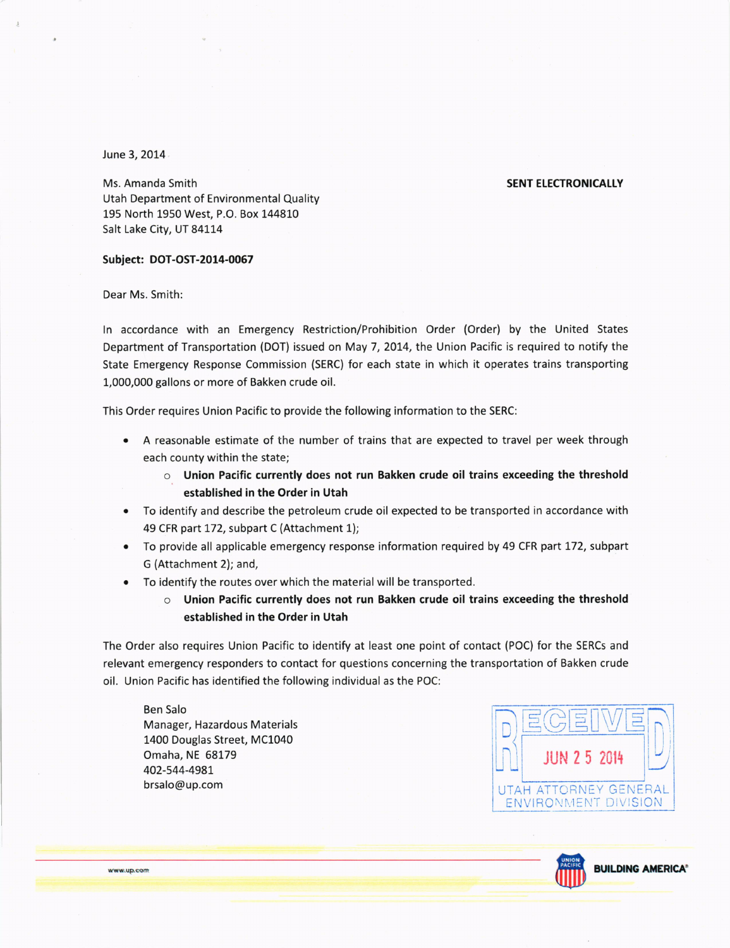## June 3,2014

## **SENT ELECTRONICALLY**

Ms. Amanda Smith Utah Department of Environmental Quality 195 North 1950 West, P.O. Box L44810 Salt Lake City, UT 84114

## Subject: DOT-OST-2014-0067

Dear Ms. Smith:

ln accordance with an Emergency Restriction/Prohibition Order (Order) by the United States Department of Transportation (DOT) issued on May 7, 2014, the Union Pacific is required to notify the State Emergency Response Commission (SERC) for each state in which it operates trains transporting L,000,000 gallons or more of Bakken crude oil.

This Order requires Union Pacific to provide the following information to the SERC:

- A reasonable estimate of the number of trains that are expected to travel per week through each county within the state;
	- $\circ$  Union Pacific currently does not run Bakken crude oil trains exceeding the threshold established in the order in Utah
- To identify and describe the petroleum crude oil expected to be transported in accordance with 49 CFR part 172, subpart C (Attachment 1);
- To provide all applicable emergency response information required by 49 CFR part 172, subpart G (Attachment 2); and,
- To identify the routes over which the material will be transported.
	- $\circ$  Union Pacific currently does not run Bakken crude oil trains exceeding the threshold established in the order in Utah

The Order also requires Union Pacific to identify at least one point of contact (POC) for the SERCs and relevant emergency responders to contact for questions concerning the transportation of Bakken crude oil. Union Pacific has identified the following individual as the POC:

Ben Salo Manager, Hazardous Materials 1400 Douglas Street, MC1040 Omaha, NE 68179 402-544-498L brsalo@up.com





www.up.com